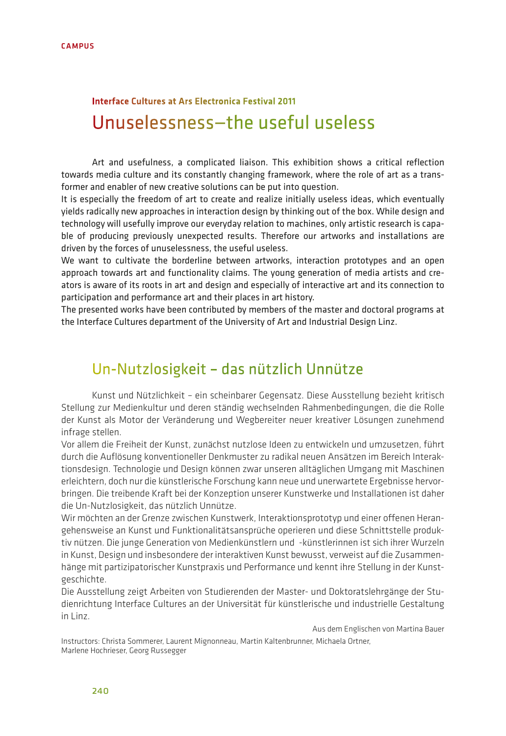# Unuselessness—the useful useless Interface Cultures at Ars Electronica Festival 2011

Art and usefulness, a complicated liaison. This exhibition shows a critical reflection towards media culture and its constantly changing framework, where the role of art as a transformer and enabler of new creative solutions can be put into question.

It is especially the freedom of art to create and realize initially useless ideas, which eventually yields radically new approaches in interaction design by thinking out of the box. While design and technology will usefully improve our everyday relation to machines, only artistic research is capable of producing previously unexpected results. Therefore our artworks and installations are driven by the forces of unuselessness, the useful useless.

We want to cultivate the borderline between artworks, interaction prototypes and an open approach towards art and functionality claims. The young generation of media artists and creators is aware of its roots in art and design and especially of interactive art and its connection to participation and performance art and their places in art history.

The presented works have been contributed by members of the master and doctoral programs at the Interface Cultures department of the University of Art and Industrial Design Linz.

## Un-Nutzlosigkeit – das nützlich Unnütze

Kunst und Nützlichkeit – ein scheinbarer Gegensatz. Diese Ausstellung bezieht kritisch Stellung zur Medienkultur und deren ständig wechselnden Rahmenbedingungen, die die Rolle der Kunst als Motor der Veränderung und Wegbereiter neuer kreativer Lösungen zunehmend infrage stellen.

Vor allem die Freiheit der Kunst, zunächst nutzlose Ideen zu entwickeln und umzusetzen, führt durch die Auflösung konventioneller Denkmuster zu radikal neuen Ansätzen im Bereich Interaktionsdesign. Technologie und Design können zwar unseren alltäglichen Umgang mit Maschinen erleichtern, doch nur die künstlerische Forschung kann neue und unerwartete Ergebnisse hervorbringen. Die treibende Kraft bei der Konzeption unserer Kunstwerke und Installationen ist daher die Un-Nutzlosigkeit, das nützlich Unnütze.

Wir möchten an der Grenze zwischen Kunstwerk, Interaktionsprototyp und einer offenen Herangehensweise an Kunst und Funktionalitätsansprüche operieren und diese Schnittstelle produktiv nützen. Die junge Generation von Medienkünstlern und -künstlerinnen ist sich ihrer Wurzeln in Kunst, Design und insbesondere der interaktiven Kunst bewusst, verweist auf die Zusammenhänge mit partizipatorischer Kunstpraxis und Performance und kennt ihre Stellung in der Kunstgeschichte.

Die Ausstellung zeigt Arbeiten von Studierenden der Master- und Doktoratslehrgänge der Studienrichtung Interface Cultures an der Universität für künstlerische und industrielle Gestaltung in Linz.

Aus dem Englischen von Martina Bauer

Instructors: Christa Sommerer, Laurent Mignonneau, Martin Kaltenbrunner, Michaela Ortner, Marlene Hochrieser, Georg Russegger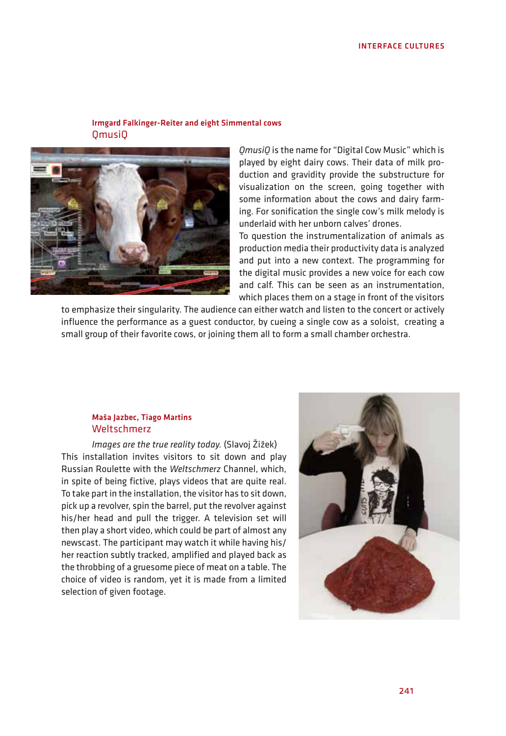## Irmgard Falkinger-Reiter and eight Simmental cows QmusiQ



*QmusiQ* is the name for "Digital Cow Music" which is played by eight dairy cows. Their data of milk production and gravidity provide the substructure for visualization on the screen, going together with some information about the cows and dairy farming. For sonification the single cow's milk melody is underlaid with her unborn calves' drones.

To question the instrumentalization of animals as production media their productivity data is analyzed and put into a new context. The programming for the digital music provides a new voice for each cow and calf. This can be seen as an instrumentation, which places them on a stage in front of the visitors

to emphasize their singularity. The audience can either watch and listen to the concert or actively influence the performance as a guest conductor, by cueing a single cow as a soloist, creating a small group of their favorite cows, or joining them all to form a small chamber orchestra.

#### Maša Jazbec, Tiago Martins Weltschmerz

*Images are the true reality today.* (Slavoj Žižek) This installation invites visitors to sit down and play Russian Roulette with the *Weltschmerz* Channel, which, in spite of being fictive, plays videos that are quite real. To take part in the installation, the visitor has to sit down, pick up a revolver, spin the barrel, put the revolver against his/her head and pull the trigger. A television set will then play a short video, which could be part of almost any newscast. The participant may watch it while having his/ her reaction subtly tracked, amplified and played back as the throbbing of a gruesome piece of meat on a table. The choice of video is random, yet it is made from a limited selection of given footage.

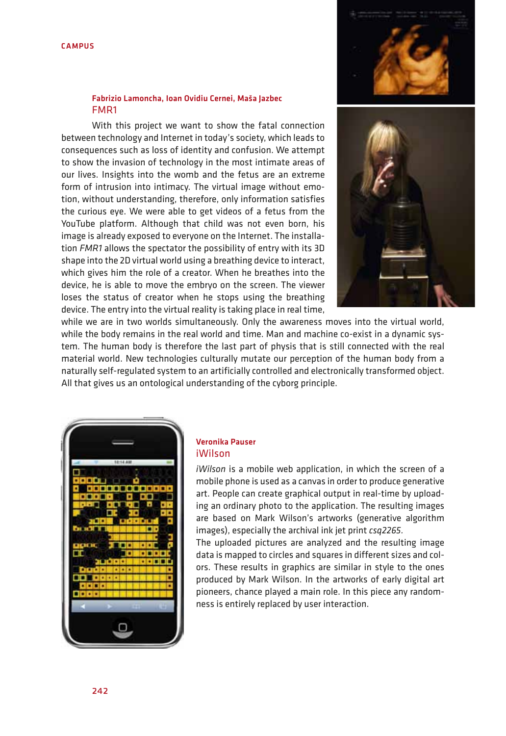

#### Fabrizio Lamoncha, Ioan Ovidiu Cernei, Maša Jazbec FMR1

With this project we want to show the fatal connection between technology and Internet in today's society, which leads to consequences such as loss of identity and confusion. We attempt to show the invasion of technology in the most intimate areas of our lives. Insights into the womb and the fetus are an extreme form of intrusion into intimacy. The virtual image without emotion, without understanding, therefore, only information satisfies the curious eye. We were able to get videos of a fetus from the YouTube platform. Although that child was not even born, his image is already exposed to everyone on the Internet. The installation *FMR1* allows the spectator the possibility of entry with its 3D shape into the 2D virtual world using a breathing device to interact, which gives him the role of a creator. When he breathes into the device, he is able to move the embryo on the screen. The viewer loses the status of creator when he stops using the breathing device. The entry into the virtual reality is taking place in real time,



while we are in two worlds simultaneously. Only the awareness moves into the virtual world, while the body remains in the real world and time. Man and machine co-exist in a dynamic system. The human body is therefore the last part of physis that is still connected with the real material world. New technologies culturally mutate our perception of the human body from a naturally self-regulated system to an artificially controlled and electronically transformed object. All that gives us an ontological understanding of the cyborg principle.



#### Veronika Pauser iWilson

*iWilson* is a mobile web application, in which the screen of a mobile phone is used as a canvas in order to produce generative art. People can create graphical output in real-time by uploading an ordinary photo to the application. The resulting images are based on Mark Wilson's artworks (generative algorithm images), especially the archival ink jet print *csq2265.*

The uploaded pictures are analyzed and the resulting image data is mapped to circles and squares in different sizes and colors. These results in graphics are similar in style to the ones produced by Mark Wilson. In the artworks of early digital art pioneers, chance played a main role. In this piece any randomness is entirely replaced by user interaction.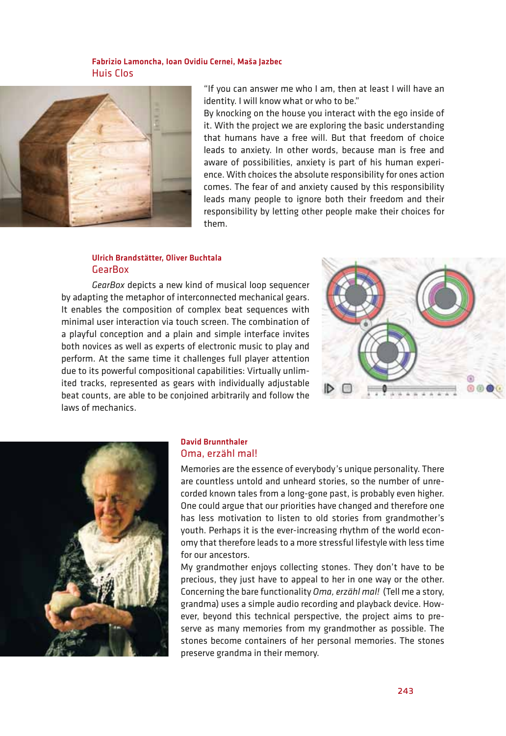## Fabrizio Lamoncha, Ioan Ovidiu Cernei, Maša Jazbec Huis Clos



"If you can answer me who I am, then at least I will have an identity. I will know what or who to be."

By knocking on the house you interact with the ego inside of it. With the project we are exploring the basic understanding that humans have a free will. But that freedom of choice leads to anxiety. In other words, because man is free and aware of possibilities, anxiety is part of his human experience. With choices the absolute responsibility for ones action comes. The fear of and anxiety caused by this responsibility leads many people to ignore both their freedom and their responsibility by letting other people make their choices for them.

## Ulrich Brandstätter, Oliver Buchtala GearBox

*GearBox* depicts a new kind of musical loop sequencer by adapting the metaphor of interconnected mechanical gears. It enables the composition of complex beat sequences with minimal user interaction via touch screen. The combination of a playful conception and a plain and simple interface invites both novices as well as experts of electronic music to play and perform. At the same time it challenges full player attention due to its powerful compositional capabilities: Virtually unlimited tracks, represented as gears with individually adjustable beat counts, are able to be conjoined arbitrarily and follow the laws of mechanics.





## David Brunnthaler Oma, erzähl mal!

Memories are the essence of everybody's unique personality. There are countless untold and unheard stories, so the number of unrecorded known tales from a long-gone past, is probably even higher. One could argue that our priorities have changed and therefore one has less motivation to listen to old stories from grandmother's youth. Perhaps it is the ever-increasing rhythm of the world economy that therefore leads to a more stressful lifestyle with less time for our ancestors.

My grandmother enjoys collecting stones. They don't have to be precious, they just have to appeal to her in one way or the other. Concerning the bare functionality *Oma, erzähl mal!* (Tell me a story, grandma) uses a simple audio recording and playback device. However, beyond this technical perspective, the project aims to preserve as many memories from my grandmother as possible. The stones become containers of her personal memories. The stones preserve grandma in their memory.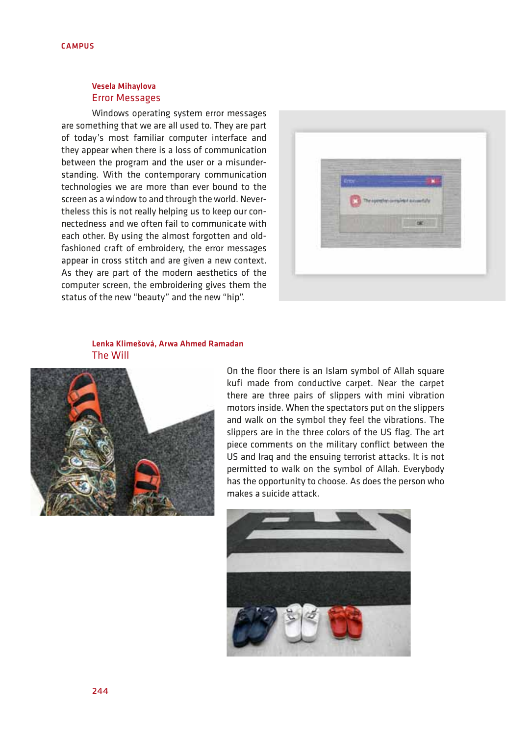## Vesela Mihaylova Error Messages

Windows operating system error messages are something that we are all used to. They are part of today's most familiar computer interface and they appear when there is a loss of communication between the program and the user or a misunderstanding. With the contemporary communication technologies we are more than ever bound to the screen as a window to and through the world. Nevertheless this is not really helping us to keep our connectedness and we often fail to communicate with each other. By using the almost forgotten and oldfashioned craft of embroidery, the error messages appear in cross stitch and are given a new context. As they are part of the modern aesthetics of the computer screen, the embroidering gives them the status of the new "beauty" and the new "hip".



## Lenka Klimešová, Arwa Ahmed Ramadan The Will



On the floor there is an Islam symbol of Allah square kufi made from conductive carpet. Near the carpet there are three pairs of slippers with mini vibration motors inside. When the spectators put on the slippers and walk on the symbol they feel the vibrations. The slippers are in the three colors of the US flag. The art piece comments on the military conflict between the US and Iraq and the ensuing terrorist attacks. It is not permitted to walk on the symbol of Allah. Everybody has the opportunity to choose. As does the person who makes a suicide attack.